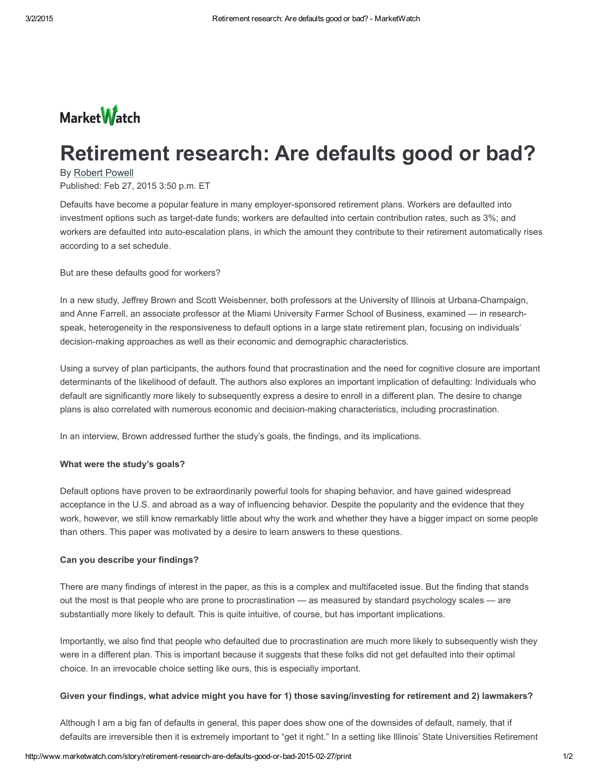

# Retirement research: Are defaults good or bad?

### By [Robert](http://www.marketwatch.com/story/retirement-research-are-defaults-good-or-bad-2015-02-27/print) Powell

Published: Feb 27, 2015 3:50 p.m. ET

Defaults have become a popular feature in many employer-sponsored retirement plans. Workers are defaulted into investment options such as target-date funds; workers are defaulted into certain contribution rates, such as 3%; and workers are defaulted into auto-escalation plans, in which the amount they contribute to their retirement automatically rises according to a set schedule.

But are these defaults good for workers?

In a new study, Jeffrey Brown and Scott Weisbenner, both professors at the University of Illinois at Urbana-Champaign, and Anne Farrell, an associate professor at the Miami University Farmer School of Business, examined — in researchspeak, heterogeneity in the responsiveness to default options in a large state retirement plan, focusing on individuals' decision-making approaches as well as their economic and demographic characteristics.

Using a survey of plan participants, the authors found that procrastination and the need for cognitive closure are important determinants of the likelihood of default. The authors also explores an important implication of defaulting: Individuals who default are significantly more likely to subsequently express a desire to enroll in a different plan. The desire to change plans is also correlated with numerous economic and decision-making characteristics, including procrastination.

In an interview, Brown addressed further the study's goals, the findings, and its implications.

#### What were the study's goals?

Default options have proven to be extraordinarily powerful tools for shaping behavior, and have gained widespread acceptance in the U.S. and abroad as a way of influencing behavior. Despite the popularity and the evidence that they work, however, we still know remarkably little about why the work and whether they have a bigger impact on some people than others. This paper was motivated by a desire to learn answers to these questions.

#### Can you describe your findings?

There are many findings of interest in the paper, as this is a complex and multifaceted issue. But the finding that stands out the most is that people who are prone to procrastination — as measured by standard psychology scales — are substantially more likely to default. This is quite intuitive, of course, but has important implications.

Importantly, we also find that people who defaulted due to procrastination are much more likely to subsequently wish they were in a different plan. This is important because it suggests that these folks did not get defaulted into their optimal choice. In an irrevocable choice setting like ours, this is especially important.

#### Given your findings, what advice might you have for 1) those saving/investing for retirement and 2) lawmakers?

Although I am a big fan of defaults in general, this paper does show one of the downsides of default, namely, that if defaults are irreversible then it is extremely important to "get it right." In a setting like Illinois' State Universities Retirement